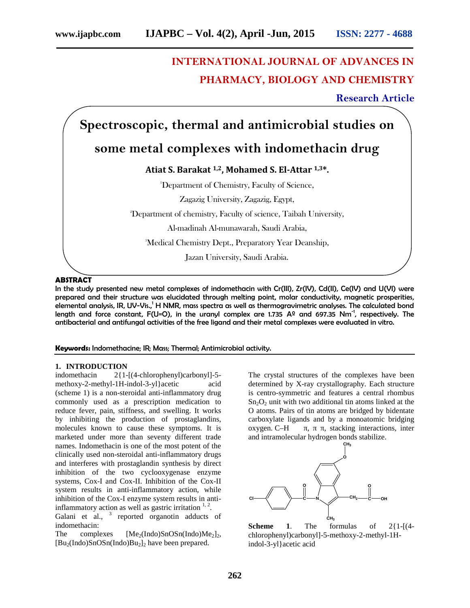# **INTERNATIONAL JOURNAL OF ADVANCES IN PHARMACY, BIOLOGY AND CHEMISTRY**

**Research Article**

# **Spectroscopic, thermal and antimicrobial studies on**

## **some metal complexes with indomethacin drug**

### **Atiat S. Barakat 1,2, Mohamed S. El-Attar 1,3\*.**

<sup>1</sup>Department of Chemistry, Faculty of Science,

Zagazig University, Zagazig, Egypt,

<sup>2</sup>Department of chemistry, Faculty of science, Taibah University,

Al-madinah Al-munawarah, Saudi Arabia,

<sup>3</sup>Medical Chemistry Dept., Preparatory Year Deanship,

Jazan University, Saudi Arabia.

#### **ABSTRACT**

In the study presented new metal complexes of indomethacin with Cr(III), Zr(IV), Cd(II), Ce(IV) and U(VI) were prepared and their structure was elucidated through melting point, molar conductivity, magnetic prosperities, elemental analysis, IR, UV-Vis.,<sup>1</sup> H NMR, mass spectra as well as thermogravimetric analyses. The calculated bond length and force constant, F(U=O), in the uranyl complex are 1.735  $A<sup>o</sup>$  and 697.35 Nm<sup>-1</sup>, respectively. The antibacterial and antifungal activities of the free ligand and their metal complexes were evaluated in vitro.

#### **Keywords:** Indomethacine; IR; Mass; Thermal; Antimicrobial activity.

# **1. INTRODUCTION**<br>indomethacin 2{1-

 $2{1-[}$ (4-chlorophenyl)carbonyl]-5methoxy-2-methyl-1H-indol-3-yl}acetic acid (scheme 1) is a non-steroidal anti-inflammatory drug commonly used as a prescription medication to reduce fever, pain, stiffness, and swelling. It works by inhibiting the production of prostaglandins, molecules known to cause these symptoms. It is marketed under more than seventy different trade names. Indomethacin is one of the most potent of the clinically used non-steroidal anti-inflammatory drugs and interferes with prostaglandin synthesis by direct inhibition of the two cyclooxygenase enzyme systems, Cox-I and Cox-II. Inhibition of the Cox-II system results in anti-inflammatory action, while inhibition of the Cox-I enzyme system results in antiinflammatory action as well as gastric irritation  $1, 2$ . Galani et al., <sup>3</sup> reported organotin adducts of

indomethacin: The complexes  $[Me<sub>2</sub>(Indo)SnOSn(Indo)Me<sub>2</sub>]$ <sub>2</sub>,  $[Bu_2(Indo)SnOSn(Indo)Bu_2]_2$  have been prepared.

The crystal structures of the complexes have been determined by X-ray crystallography. Each structure is centro-symmetric and features a central rhombus  $Sn<sub>2</sub>O<sub>2</sub>$  unit with two additional tin atoms linked at the O atoms. Pairs of tin atoms are bridged by bidentate carboxylate ligands and by a monoatomic bridging oxygen. C–H, h, stacking interactions, inter and intramolecular hydrogen bonds stabilize.



**Scheme 1.** The formulas of  $2{1-[4]}$ chlorophenyl)carbonyl]-5-methoxy-2-methyl-1Hindol-3-yl}acetic acid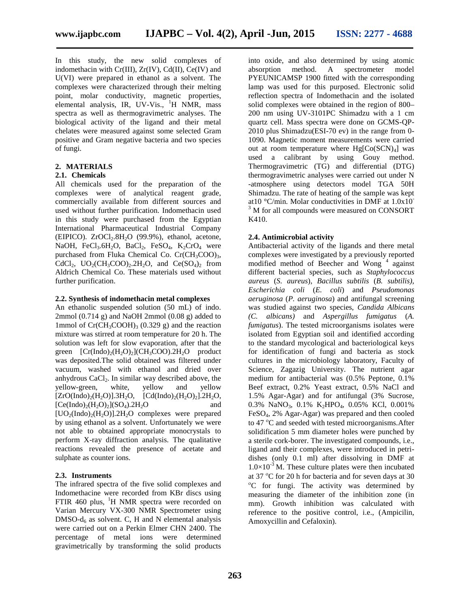In this study, the new solid complexes of indomethacin with  $Cr(III)$ ,  $Zr(IV)$ ,  $Cd(II)$ ,  $Ce(IV)$  and absorption U(VI) were prepared in ethanol as a solvent. The complexes were characterized through their melting point, molar conductivity, magnetic properties, elemental analysis, IR, UV-Vis.,  $H$  NMR, mass spectra as well as thermogravimetric analyses. The biological activity of the ligand and their metal chelates were measured against some selected Gram positive and Gram negative bacteria and two species of fungi.

#### **2. MATERIALS**

#### **2.1. Chemicals**

All chemicals used for the preparation of the complexes were of analytical reagent grade, commercially available from different sources and used without further purification. Indomethacin used  $3\,$  M for all compounds were measured on CONSORT in this study were purchased from the Egyptian International Pharmaceutical Industrial Company (EIPICO).  $ZrOCl<sub>2</sub>.8H<sub>2</sub>O$  (99.9%), ethanol, acetone, NaOH, FeCl<sub>3</sub>.6H<sub>2</sub>O, BaCl<sub>2</sub>, FeSO<sub>4</sub>, K<sub>2</sub>CrO<sub>4</sub> were purchased from Fluka Chemical Co. Cr(CH<sub>3</sub>COO)<sub>3</sub>, CdCl<sub>2</sub>, UO<sub>2</sub>(CH<sub>3</sub>COO)<sub>2</sub>.2H<sub>2</sub>O, and Ce(SO<sub>4</sub>)<sub>2</sub> from Aldrich Chemical Co. These materials used without further purification.

#### **2.2. Synthesis of indomethacin metal complexes**

An ethanolic suspended solution (50 mL) of indo. 2mmol  $(0.714 \text{ g})$  and NaOH 2mmol  $(0.08 \text{ g})$  added to 1mmol of  $Cr(CH_3COOH)_3$  (0.329 g) and the reaction mixture was stirred at room temperature for 20 h. The solution was left for slow evaporation, after that the green  $[Cr(Indo)<sub>2</sub>(H<sub>2</sub>O)<sub>2</sub>](CH<sub>3</sub>COO).2H<sub>2</sub>O$  product was deposited.The solid obtained was filtered under vacuum, washed with ethanol and dried over anhydrous  $CaCl<sub>2</sub>$ . In similar way described above, the yellow-green, white, yellow and yellow  $[ZrO(Indo)<sub>2</sub>(H<sub>2</sub>O)].3H<sub>2</sub>O, [Cd(Indo)<sub>2</sub>(H<sub>2</sub>O)<sub>2</sub>].2H<sub>2</sub>O,$  $[Ce(Indo)<sub>2</sub>(H<sub>2</sub>O)<sub>2</sub>](SO<sub>4</sub>)$ .2H<sub>2</sub>O and  $[UO<sub>2</sub>(Indo)<sub>2</sub>(H<sub>2</sub>O)]$ .2H<sub>2</sub>O complexes were prepared by using ethanol as a solvent. Unfortunately we were not able to obtained appropriate monocrystals to perform X-ray diffraction analysis. The qualitative reactions revealed the presence of acetate and sulphate as counter ions.

#### **2.3. Instruments**

The infrared spectra of the five solid complexes and Indomethacine were recorded from KBr discs using FTIR 460 plus,  $^{1}$ H NMR spectra were recorded on Varian Mercury VX-300 NMR Spectrometer using  $DMSO-d<sub>6</sub>$  as solvent. C, H and N elemental analysis were carried out on a Perkin Elmer CHN 2400. The percentage of metal ions were determined gravimetrically by transforming the solid products

into oxide, and also determined by using atomic A spectrometer model PYEUNICAMSP 1900 fitted with the corresponding lamp was used for this purposed. Electronic solid reflection spectra of Indomethacin and the isolated solid complexes were obtained in the region of 800– 200 nm using UV-3101PC Shimadzu with a 1 cm quartz cell. Mass spectra were done on GCMS-QP- 2010 plus Shimadzu(ESI-70 ev) in the range from 0- 1090. Magnetic moment measurements were carried out at room temperature where  $Hg[Co(SCN)<sub>4</sub>]$  was used a calibrant by using Gouy method. Thermogravimetric (TG) and differential (DTG) thermogravimetric analyses were carried out under N -atmosphere using detectors model TGA 50H Shimadzu. The rate of heating of the sample was kept at10 °C/min. Molar conductivities in DMF at  $1.0x10^-$ K410.

#### **2.4. Antimicrobial activity**

Antibacterial activity of the ligands and there metal complexes were investigated by a previously reported modified method of Beecher and Wong<sup>4</sup> against different bacterial species, such as *Staphylococcus aureus* (*S. aureus*), *Bacillus subtilis* (*B. subtilis)*, *Escherichia coli* (*E. coli*) and *Pseudomonas aeruginosa* (*P. aeruginosa*) and antifungal screening was studied against two species, *Candida Albicans (C. albicans)* and *Aspergillus fumigatus* (*A. fumigatus*). The tested microorganisms isolates were isolated from Egyptian soil and identified according to the standard mycological and bacteriological keys for identification of fungi and bacteria as stock cultures in the microbiology laboratory, Faculty of Science, Zagazig University. The nutrient agar medium for antibacterial was (0.5% Peptone, 0.1% Beef extract, 0.2% Yeast extract, 0.5% NaCl and 1.5% Agar-Agar) and for antifungal (3% Sucrose, 0.3% NaNO<sub>3</sub>, 0.1% K<sub>2</sub>HPO<sub>4</sub>, 0.05% KCl, 0.001% FeSO4, 2% Agar-Agar) was prepared and then cooled to 47 °C and seeded with tested microorganisms. After solidification 5 mm diameter holes were punched by a sterile cork-borer. The investigated compounds, i.e., ligand and their complexes, were introduced in petri dishes (only 0.1 ml) after dissolving in DMF at  $1.0\times10^{-3}$  M. These culture plates were then incubated at  $37 \degree$ C for 20 h for bacteria and for seven days at 30  $^{\circ}$ C for fungi. The activity was determined by measuring the diameter of the inhibition zone (in mm). Growth inhibition was calculated with reference to the positive control, i.e., (Ampicilin, Amoxycillin and Cefaloxin).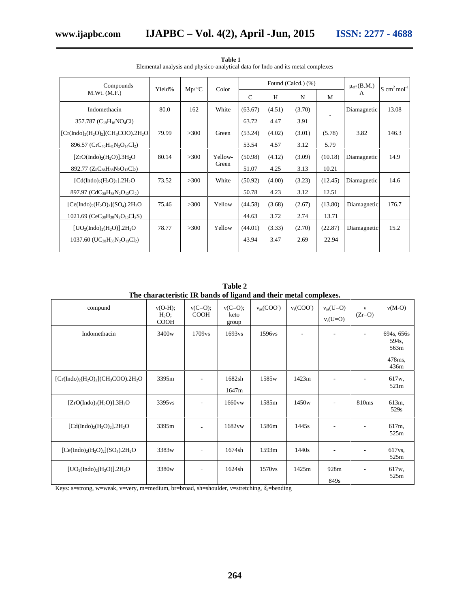| Compounds                                                                                    | Yield% | $Mp/{}^{\circ}C$ | Color   | Found (Calcd.) (%) |        |        |         | $\mu_{\rm eff}$ (B.M.) | $S \text{ cm}^2 \text{mol}^{-1}$ |  |
|----------------------------------------------------------------------------------------------|--------|------------------|---------|--------------------|--------|--------|---------|------------------------|----------------------------------|--|
| M.Wt. (M.F.)                                                                                 |        |                  |         | $\mathcal{C}$      | H      | N      | M       |                        |                                  |  |
| Indomethacin                                                                                 | 80.0   | 162              | White   | (63.67)            | (4.51) | (3.70) |         | Diamagnetic            | 13.08                            |  |
| 357.787 ( $C_{19}H_{16}NO_4Cl$ )                                                             |        |                  |         | 63.72              | 4.47   | 3.91   |         |                        |                                  |  |
| $[Cr(Indo)2(H2O)2](CH3COO).2H2O]$                                                            | 79.99  | >300             | Green   | (53.24)            | (4.02) | (3.01) | (5.78)  | 3.82                   | 146.3                            |  |
| 896.57 ( $CrC_{40}H_{41}N_2O_{14}Cl_2$ )                                                     |        |                  |         | 53.54              | 4.57   | 3.12   | 5.79    |                        |                                  |  |
| $[ZrO(Indo)2(H2O)].3H2O$                                                                     | 80.14  | >300             | Yellow- | (50.98)            | (4.12) | (3.09) | (10.18) | Diamagnetic            | 14.9                             |  |
| 892.77 ( $ZrC_{38}H_{38}N_2O_{13}Cl_2$ )                                                     |        |                  | Green   | 51.07              | 4.25   | 3.13   | 10.21   |                        |                                  |  |
| [Cd(Indo) <sub>2</sub> (H <sub>2</sub> O) <sub>2</sub> ].2H <sub>2</sub> O                   | 73.52  | >300             | White   | (50.92)            | (4.00) | (3.23) | (12.45) | Diamagnetic            | 14.6                             |  |
| 897.97 (CdC <sub>38</sub> H <sub>38</sub> N <sub>2</sub> O <sub>12</sub> Cl <sub>2</sub> )   |        |                  |         | 50.78              | 4.23   | 3.12   | 12.51   |                        |                                  |  |
| $[Ce(Indo)2(H2O)2](SO4)$ .2H <sub>2</sub> O                                                  | 75.46  | >300             | Yellow  | (44.58)            | (3.68) | (2.67) | (13.80) | Diamagnetic            | 176.7                            |  |
| 1021.69 ( $CeC_{38}H_{38}N_2O_{16}Cl_2S$ )                                                   |        |                  |         | 44.63              | 3.72   | 2.74   | 13.71   |                        |                                  |  |
| $[UO2(Indo)2(H2O)].2H2O]$                                                                    | 78.77  | >300             | Yellow  | (44.01)            | (3.33) | (2.70) | (22.87) | Diamagnetic            | 15.2                             |  |
| $1037.60$ (UC <sub>38</sub> H <sub>36</sub> N <sub>2</sub> O <sub>13</sub> Cl <sub>2</sub> ) |        |                  |         | 43.94              | 3.47   | 2.69   | 22.94   |                        |                                  |  |
|                                                                                              |        |                  |         |                    |        |        |         |                        |                                  |  |

**Table 1** Elemental analysis and physico-analytical data for Indo and its metal complexes

| Table 2                                                          |  |  |  |  |  |  |  |
|------------------------------------------------------------------|--|--|--|--|--|--|--|
| The characteristic IR bands of ligand and their metal complexes. |  |  |  |  |  |  |  |
|                                                                  |  |  |  |  |  |  |  |

| compund                                                                    | $(O-H);$<br>$H_2O$ ;<br><b>COOH</b> | $(C=O);$<br><b>COOH</b>  | $(C=O);$<br>keto<br>group | $_{\text{as}}(\text{COO}^{\text{-}})$ | $_{\rm s}$ (COO <sup>-</sup> ) | $_{\rm as}(U=O)$<br>$(O=U)$ | $(Zr=O)$                 | $(M-O)$                                       |
|----------------------------------------------------------------------------|-------------------------------------|--------------------------|---------------------------|---------------------------------------|--------------------------------|-----------------------------|--------------------------|-----------------------------------------------|
| Indomethacin                                                               | 3400 <sub>w</sub>                   | 1709 <sub>vs</sub>       | 1693vs                    | 1596vs                                | $\overline{a}$                 | $\overline{\phantom{a}}$    | $\overline{a}$           | 694s, 656s<br>594s.<br>563m<br>478ms.<br>436m |
| $[Cr(Indo)2(H2O)2](CH3COO).2H2O$                                           | 3395m                               | ÷,                       | 1682sh<br>1647m           | 1585 <sub>w</sub>                     | 1423m                          |                             |                          | 617w,<br>521m                                 |
| $[ZrO(Indo)2(H2O)].3H2O$                                                   | 3395 <sub>vs</sub>                  | $\overline{\phantom{a}}$ | 1660vw                    | 1585m                                 | 1450 <sub>w</sub>              | $\overline{\phantom{a}}$    | 810 <sub>ms</sub>        | 613m,<br>529s                                 |
| [Cd(Indo) <sub>2</sub> (H <sub>2</sub> O) <sub>2</sub> ].2H <sub>2</sub> O | 3395m                               | ÷                        | 1682vw                    | 1586m                                 | 1445s                          | $\overline{\phantom{a}}$    | $\overline{\phantom{a}}$ | 617m,<br>525m                                 |
| $[Ce(Indo)2(H2O)2](SO4)$ .2H <sub>2</sub> O                                | 3383w                               | $\overline{\phantom{a}}$ | 1674sh                    | 1593m                                 | 1440s                          | ٠                           | $\overline{\phantom{a}}$ | 617 <sub>vs</sub><br>525m                     |
| $[UO2(Indo)2(H2O)].2H2O]$                                                  | 3380w                               | ٠                        | 1624sh                    | 1570 <sub>vs</sub>                    | 1425m                          | 928m<br>849s                | $\overline{a}$           | 617w,<br>525m                                 |

Keys: s=strong, w=weak, v=very, m=medium, br=broad, sh=shoulder, =stretching, *b*=bending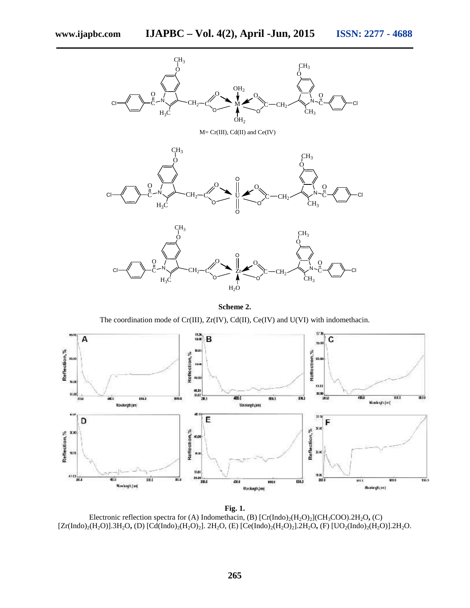

**Scheme 2.**

The coordination mode of Cr(III), Zr(IV), Cd(II), Ce(IV) and U(VI) with indomethacin.



**Fig. 1.** Electronic reflection spectra for (A) Indomethacin, (B)  $[Cr(Indo)<sub>2</sub>(H<sub>2</sub>O)<sub>2</sub>](CH<sub>3</sub>COO).2H<sub>2</sub>O$ , (C) [Zr(Indo)<sub>2</sub>(H<sub>2</sub>O)].3H<sub>2</sub>O, (D) [Cd(Indo)<sub>2</sub>(H<sub>2</sub>O)<sub>2</sub>]. 2H<sub>2</sub>O, (E) [Ce(Indo)<sub>2</sub>(H<sub>2</sub>O)<sub>2</sub>].2H<sub>2</sub>O, (F) [UO<sub>2</sub>(Indo)<sub>2</sub>(H<sub>2</sub>O)].2H<sub>2</sub>O.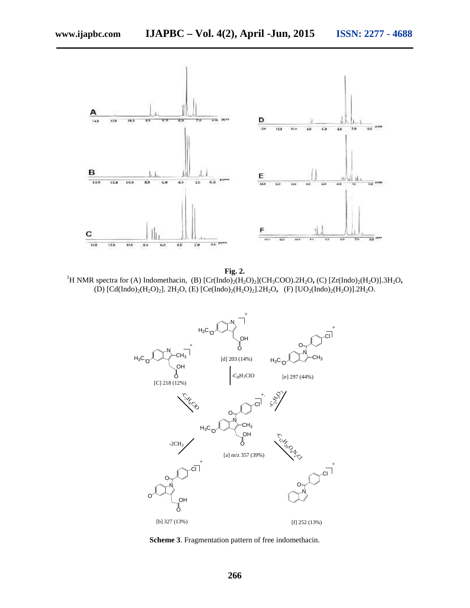

**Fig. 2.**<br><sup>1</sup>H NMR spectra for (A) Indomethacin, (B) [Cr(Indo)<sub>2</sub>(H<sub>2</sub>O)<sub>2</sub>](CH<sub>3</sub>COO).2H<sub>2</sub>O, (C) [Zr(Indo)<sub>2</sub>(H<sub>2</sub>O)].3H<sub>2</sub>O, (D)  $[Cd(Indo)<sub>2</sub>(H<sub>2</sub>O)<sub>2</sub>]. 2H<sub>2</sub>O, (E) [Ce(Indo)<sub>2</sub>(H<sub>2</sub>O)<sub>2</sub>].2H<sub>2</sub>O, (F) [UO<sub>2</sub>(Indo)<sub>2</sub>(H<sub>2</sub>O)].2H<sub>2</sub>O.$ 



**Scheme 3**. Fragmentation pattern of free indomethacin.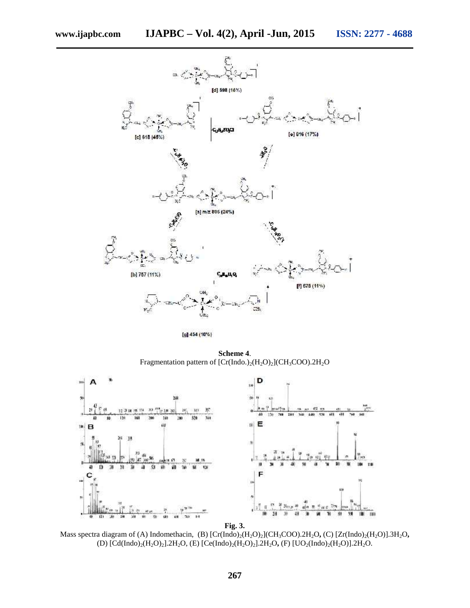

[g] 454 (10%)

**Scheme 4**. Fragmentation pattern of  $[Cr(Indo.)<sub>2</sub>(H<sub>2</sub>O)<sub>2</sub>](CH<sub>3</sub>COO).2H<sub>2</sub>O$ 



**Fig. 3.**

Mass spectra diagram of (A) Indomethacin, (B)  $[Cr(Indo)<sub>2</sub>(H<sub>2</sub>O)<sub>2</sub>](CH<sub>3</sub>COO).2H<sub>2</sub>O$ , (C)  $[Zr(Indo)<sub>2</sub>(H<sub>2</sub>O)].3H<sub>2</sub>O$ , (D)  $[Cd(Indo)<sub>2</sub>(H<sub>2</sub>O)<sub>2</sub>].2H<sub>2</sub>O, (E) [Ce(Indo)<sub>2</sub>(H<sub>2</sub>O)<sub>2</sub>].2H<sub>2</sub>O, (F) [UO<sub>2</sub>(Indo)<sub>2</sub>(H<sub>2</sub>O)].2H<sub>2</sub>O.$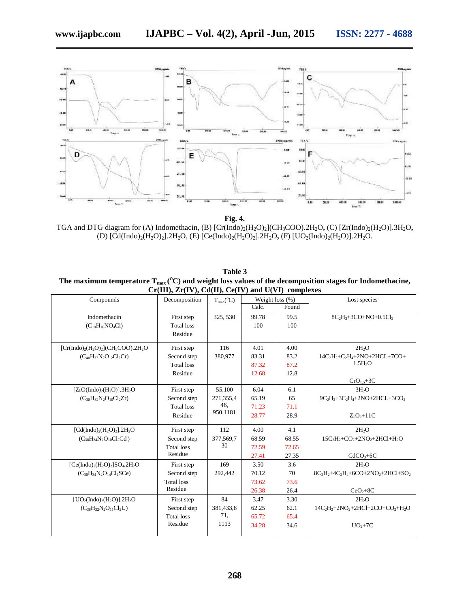

**Fig. 4.** TGA and DTG diagram for (A) Indomethacin, (B)  $[Cr(Indo)<sub>2</sub>(H<sub>2</sub>O)<sub>2</sub>](CH<sub>3</sub>COO).2H<sub>2</sub>O$ , (C)  $[Zr(Indo)<sub>2</sub>(H<sub>2</sub>O)].3H<sub>2</sub>O$ , (D)  $[Cd(Indo)<sub>2</sub>(H<sub>2</sub>O)<sub>2</sub>]$ .2H<sub>2</sub>O, (E)  $[Ce(Indo)<sub>2</sub>(H<sub>2</sub>O)<sub>2</sub>]$ .2H<sub>2</sub>O, (F)  $[UO<sub>2</sub>(Indo)<sub>2</sub>(H<sub>2</sub>O)]$ .2H<sub>2</sub>O.

| Table 3                                                                                                    |               |                             |                    |              |  |  |  |  |
|------------------------------------------------------------------------------------------------------------|---------------|-----------------------------|--------------------|--------------|--|--|--|--|
| The maximum temperature $T_{max}(C)$ and weight loss values of the decomposition stages for Indomethacine, |               |                             |                    |              |  |  |  |  |
| $Cr(III), Zr(IV), Cd(II), Ce(IV)$ and $U(VI)$ complexes                                                    |               |                             |                    |              |  |  |  |  |
| Compounds                                                                                                  | Decomposition | $T_{\rm max} ({}^{\rm o}C)$ | Weight loss $(\%)$ | Lost species |  |  |  |  |
|                                                                                                            |               |                             | $C$ alc<br>Found   |              |  |  |  |  |

| Compounds                              | Decomposition     | $T_{max} ({}^{\circ}C)$ |       | Weight loss $(\%)$ | Lost species                          |
|----------------------------------------|-------------------|-------------------------|-------|--------------------|---------------------------------------|
|                                        |                   |                         | Calc. | Found              |                                       |
| Indomethacin                           | First step        | 325, 530                | 99.78 | 99.5               | $8C_2H_2+3CO+NO+0.5Cl_2$              |
| $(C_{19}H_{16}NO_4Cl)$                 | <b>Total</b> loss |                         | 100   | 100                |                                       |
|                                        | Residue           |                         |       |                    |                                       |
| $[Cr(Indo)2(H2O)2](CH3COO).2H2O$       | First step        | 116                     | 4.01  | 4.00               | 2H <sub>2</sub> O                     |
| $(C_{40}H_{37}N_2O_{12}Cl_2Cr)$        | Second step       | 380,977                 | 83.31 | 83.2               | $14C_2H_2+C_2H_4+2NO+2HCL+7CO+$       |
|                                        | <b>Total</b> loss |                         | 87.32 | 87.2               | 1.5H <sub>2</sub> O                   |
|                                        | Residue           |                         | 12.68 | 12.8               |                                       |
|                                        |                   |                         |       |                    | $CrO1.5+3C$                           |
| $[ZrO(Indo)2(H2O)].3H2O$               | First step        | 55,100                  | 6.04  | 6.1                | 3H <sub>2</sub> O                     |
| $(C_{38}H_{32}N_2O_{10}Cl_2Zr)$        | Second step       | 271,355,4               | 65.19 | 65                 | $9C_2H_2+3C_2H_4+2NO+2HCL+3CO2$       |
|                                        | <b>Total</b> loss | 46,                     | 71.23 | 71.1               |                                       |
|                                        | Residue           | 950,1181                | 28.77 | 28.9               | $ZrO2+11C$                            |
| $[Cd(Indo)2(H2O)2]$ .2H <sub>2</sub> O | First step        | 112                     | 4.00  | 4.1                | 2H <sub>2</sub> O                     |
| $(C_{38}H_{34}N_2O_{10}Cl_2Cd)$        | Second step       | 377,569,7               | 68.59 | 68.55              | $15C_2H_2+CO_2+2NO_2+2HCl+H_2O$       |
|                                        | <b>Total loss</b> | 30                      | 72.59 | 72.65              |                                       |
|                                        | Residue           |                         | 27.41 | 27.35              | $CdCO3+6C$                            |
| $[Ce(Indo)2(H2O)2]SO4.2H2O$            | First step        | 169                     | 3.50  | 3.6                | 2H <sub>2</sub> O                     |
| $(C_{38}H_{34}N_2O_{14}Cl_2SCe)$       | Second step       | 292,442                 | 70.12 | 70                 | $8C_2H_2+4C_2H_4+6CO+2NO_2+2HCl+SO_2$ |
|                                        | <b>Total</b> loss |                         | 73.62 | 73.6               |                                       |
|                                        | Residue           |                         | 26.38 | 26.4               | $CeO2+8C$                             |
| $[UO2(Indo)2(H2O)].2H2O$               | First step        | 84                      | 3.47  | 3.30               | 2H <sub>2</sub> O                     |
| $(C_{38}H_{32}N_2O_{11}Cl_2U)$         | Second step       | 381,433,8               | 62.25 | 62.1               | $14C_2H_2+2NO_2+2HCl+2CO+CO_2+H_2O$   |
|                                        | <b>Total loss</b> | 71,                     | 65.72 | 65.4               |                                       |
|                                        | Residue           | 1113                    | 34.28 | 34.6               | $UO2+7C$                              |
|                                        |                   |                         |       |                    |                                       |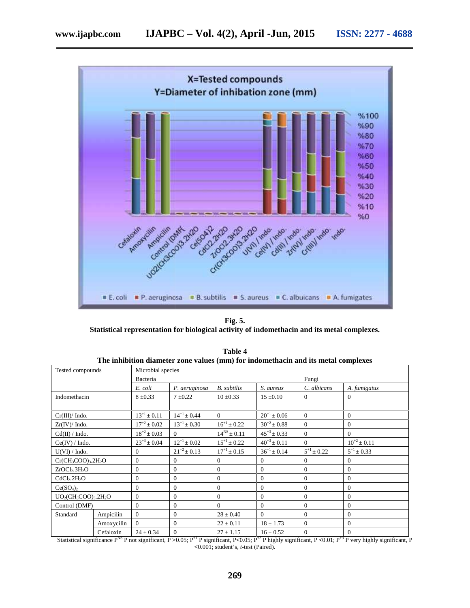

**Fig. 5. Statistical representation for biological activity of indomethacin and its metal complexes.**

| The minoriton uranicler zone values (min) for muonicinaem and its inclar complexes |                                       |                    |                    |                    |                    |                   |                    |  |  |
|------------------------------------------------------------------------------------|---------------------------------------|--------------------|--------------------|--------------------|--------------------|-------------------|--------------------|--|--|
|                                                                                    | Microbial species<br>Tested compounds |                    |                    |                    |                    |                   |                    |  |  |
|                                                                                    |                                       | Bacteria           |                    | Fungi              |                    |                   |                    |  |  |
|                                                                                    |                                       | E. coli            | P. aeruginosa      | <b>B.</b> subtilis | S. aureus          | C. albicans       | A. fumigatus       |  |  |
| Indomethacin                                                                       |                                       | $8 \pm 0.33$       | $7 \pm 0.22$       | $10 \pm 0.33$      | $15 \pm 0.10$      | $\Omega$          | $\mathbf{0}$       |  |  |
|                                                                                    |                                       |                    |                    |                    |                    |                   |                    |  |  |
| Cr(III)/Indo.                                                                      |                                       | $13^{+1} \pm 0.11$ | $14^{+1} \pm 0.44$ | $\Omega$           | $20^{+1} \pm 0.06$ | $\Omega$          | $\mathbf{0}$       |  |  |
| $Zr(IV)/$ Indo.                                                                    |                                       | $17^{+2} \pm 0.02$ | $13^{+1} \pm 0.30$ | $16^{+1} \pm 0.22$ | $30^{+2} \pm 0.88$ | $\Omega$          | $\mathbf{0}$       |  |  |
| $Cd(II) / Indo$ .                                                                  |                                       | $18^{+2} \pm 0.03$ | $\Omega$           | $14^{NS}$ ± 0.11   | $45^{+3} \pm 0.33$ | $\Omega$          | $\theta$           |  |  |
| Ce(IV) / Indo.                                                                     |                                       | $23^{+3} \pm 0.04$ | $12^{+1} \pm 0.02$ | $15^{+1} \pm 0.22$ | $40^{+3} \pm 0.11$ | $\Omega$          | $10^{+2} \pm 0.11$ |  |  |
| U(VI) / Indo.                                                                      |                                       | $\mathbf{0}$       | $21^{+2} \pm 0.13$ | $17^{+1}$ ± 0.15   | $36^{+1} \pm 0.14$ | $5^{+1} \pm 0.22$ | $5^{+1} \pm 0.33$  |  |  |
| $Cr(CH_3COO)_3.2H_2O$                                                              |                                       | $\mathbf{0}$       | $\theta$           | $\mathbf{0}$       | $\boldsymbol{0}$   | $\Omega$          | $\overline{0}$     |  |  |
| ZrOCl <sub>2</sub> .3H <sub>2</sub> O                                              |                                       | $\mathbf{0}$       | $\theta$           | $\mathbf{0}$       | $\mathbf{0}$       | $\overline{0}$    | $\mathbf{0}$       |  |  |
| CdCl <sub>2</sub> .2H <sub>2</sub> O                                               |                                       | $\mathbf{0}$       | $\theta$           | $\mathbf{0}$       | $\boldsymbol{0}$   | $\overline{0}$    | $\mathbf{0}$       |  |  |
| Ce(SO <sub>4</sub> ) <sub>2</sub>                                                  |                                       | $\mathbf{0}$       | $\theta$           | $\mathbf{0}$       | $\mathbf{0}$       | $\overline{0}$    | $\mathbf{0}$       |  |  |
|                                                                                    | $UO2(CH3COO)3$ .2H <sub>2</sub> O     |                    | $\theta$           | $\mathbf{0}$       | $\mathbf{0}$       | $\overline{0}$    | $\mathbf{0}$       |  |  |
| Control (DMF)                                                                      |                                       | $\mathbf{0}$       | $\theta$           | $\theta$           | $\mathbf{0}$       | $\overline{0}$    | $\mathbf{0}$       |  |  |
| Standard                                                                           | Ampicilin                             | $\mathbf{0}$       | $\boldsymbol{0}$   | $28 \pm 0.40$      | $\mathbf{0}$       | $\overline{0}$    | $\mathbf{0}$       |  |  |
|                                                                                    | Amoxycilin                            | $\Omega$           | $\boldsymbol{0}$   | $22 \pm 0.11$      | $18 \pm 1.73$      | $\overline{0}$    | $\mathbf{0}$       |  |  |
|                                                                                    | Cefaloxin                             | $24 \pm 0.34$      | $\theta$           | $27 \pm 1.15$      | $16 \pm 0.52$      | $\overline{0}$    | $\mathbf{0}$       |  |  |

**Table 4 The inhibition diameter zone values (mm) for indomethacin and its metal complexes**

Statistical significance P<sup>NS</sup> P not significant, P >0.05; P<sup>+1</sup> P significant, P <0.05; P<sup>+2</sup> P highly significant, P <0.01; P<sup>+3</sup> P very highly significant, P **<**0.001; student's, *t-*test (Paired).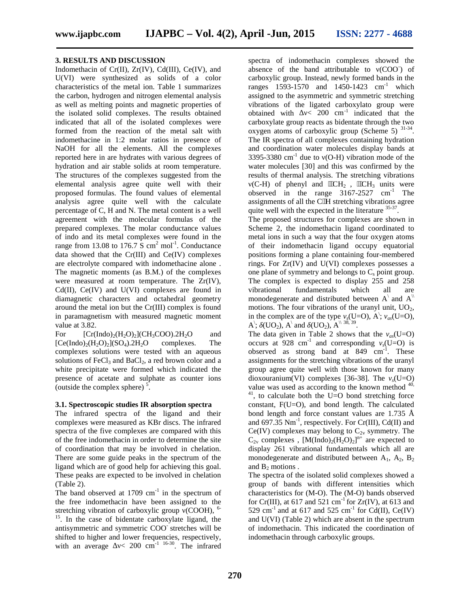#### **3. RESULTS AND DISCUSSION**

Indomethacin of Cr(II), Zr(IV), Cd(III), Ce(IV), and U(VI) were synthesized as solids of a color characteristics of the metal ion. Table 1 summarizes the carbon, hydrogen and nitrogen elemental analysis as well as melting points and magnetic properties of the isolated solid complexes. The results obtained indicated that all of the isolated complexes were formed from the reaction of the metal salt with indomethacine in 1:2 molar ratios in presence of NaOH for all the elements. All the complexes reported here in are hydrates with various degrees of hydration and air stable solids at room temperature. The structures of the complexes suggested from the elemental analysis agree quite well with their proposed formulas. The found values of elemental analysis agree quite well with the calculate percentage of C, H and N. The metal content is a well agreement with the molecular formulas of the prepared complexes. The molar conductance values of indo and its metal complexes were found in the range from 13.08 to 176.7  $\overline{S}$  cm<sup>2</sup> mol<sup>-1</sup>. Conductance data showed that the Cr(III) and Ce(IV) complexes are electrolyte compared with indomethacine alone . The magnetic moments (as B.M.) of the complexes were measured at room temperature. The Zr(IV),  $Cd(II)$ ,  $Ce(IV)$  and  $U(VI)$  complexes are found in vibrational diamagnetic characters and octahedral geometry around the metal ion but the Cr(III) complex is found in paramagnetism with measured magnetic moment value at 3.82.

For  $[Cr(Indo)<sub>2</sub>(H<sub>2</sub>O)<sub>2</sub>](CH<sub>3</sub>COO).2H<sub>2</sub>O$  and  $[Ce(Indo)<sub>2</sub>(H<sub>2</sub>O)<sub>2</sub>](SO<sub>4</sub>)$ . 2H<sub>2</sub>O complexes. The complexes solutions were tested with an aqueous solutions of  $FeCl<sub>3</sub>$  and  $BaCl<sub>2</sub>$ , a red brown color and a white precipitate were formed which indicated the presence of acetate and sulphate as counter ions (outside the complex sphere)  $\frac{5}{1}$ .

#### **3.1. Spectroscopic studies IR absorption spectra**

The infrared spectra of the ligand and their complexes were measured as KBr discs. The infrared spectra of the five complexes are compared with this of the free indomethacin in order to determine the site of coordination that may be involved in chelation. There are some guide peaks in the spectrum of the ligand which are of good help for achieving this goal. These peaks are expected to be involved in chelation (Table 2).

The band observed at  $1709 \text{ cm}^{-1}$  in the spectrum of the free indomethacin have been assigned to the stretching vibration of carboxylic group (COOH), <sup>6-</sup> <sup>15</sup>. In the case of bidentate carboxylate ligand, the antisymmetric and symmetric COO- stretches will be shifted to higher and lower frequencies, respectively, with an average  $\leq 200 \text{ cm}^{-1}$  16-30. The infrared

spectra of indomethacin complexes showed the absence of the band attributable to  $(COO^-)$  of carboxylic group. Instead, newly formed bands in the ranges  $1593-1570$  and  $1450-1423$  cm<sup>-1</sup> which assigned to the asymmetric and symmetric stretching vibrations of the ligated carboxylato group were obtained with  $\lt$  200 cm<sup>-1</sup> indicated that the carboxylate group reacts as bidentate through the two oxygen atoms of carboxylic group (Scheme 5)  $31-34$ . The IR spectra of all complexes containing hydration and coordination water molecules display bands at 3395-3380 cm<sup>-1</sup> due to (O-H) vibration mode of the water molecules [30] and this was confirmed by the results of thermal analysis. The stretching vibrations (C-H) of phenyl and  $CH_2$ ,  $CH_3$  units were observed in the range  $3167-2527$  cm<sup>-1</sup> The assignments of all the C<sub>H</sub> stretching vibrations agree quite well with the expected in the literature  $35-37$ .

The proposed structures for complexes are shown in Scheme 2, the indomethacin ligand coordinated to metal ions in such a way that the four oxygen atoms of their indomethacin ligand occupy equatorial positions forming a plane containing four-membered rings. For Zr(IV) and U(VI) complexes possesses a one plane of symmetry and belongs to  $C_s$  point group. The complex is expected to display 255 and 258 fundamentals which all are monodegenerate and distributed between  $A^\dagger$  and  $A^\dagger$ motions. The four vibrations of the uranyl unit,  $UO<sub>2</sub>$ , in the complex are of the type  $s(U=O)$ , A<sup> $\cdot$ </sup>,  $a_s(U=O)$ , A<sup> $\,$ </sup>; (UO<sub>2</sub>), A<sup> $\,$ </sup> and (UO<sub>2</sub>), A<sup> $\parallel$  38, 39</sup>.

The data given in Table 2 shows that the  $_{as}(U=O)$ occurs at 928 cm<sup>-1</sup> and corresponding  $s(U=O)$  is observed as strong band at  $849 \text{ cm}^{-1}$ . These assignments for the stretching vibrations of the uranyl group agree quite well with those known for many dioxouranium(V) complexes [36-38]. The  $_s$ (U=O) value was used as according to the known method<sup>40,</sup>  $v^{41}$ , to calculate both the U=O bond stretching force constant, F(U=O), and bond length. The calculated bond length and force constant values are 1.735 Å and 697.35  $Nm^{-1}$ , respectively. For Cr(III), Cd(II) and Ce(IV) complexes may belong to  $C_{2v}$  symmetry. The  $C_{2v}$  complexes,  $[M(Indo)<sub>2</sub>(H<sub>2</sub>O)<sub>2</sub>]<sup>n+</sup>$  are expected to display 261 vibrational fundamentals which all are monodegenerate and distributed between  $A_1$ ,  $A_2$ ,  $B_2$ and  $B_2$  motions.

The spectra of the isolated solid complexes showed a group of bands with different intensities which characteristics for (M-O). The (M-O) bands observed for Cr(III), at 617 and 521  $\text{cm}^{-1}$  for Zr(IV), at 613 and 529 cm<sup>-1</sup> and at 617 and 525 cm<sup>-1</sup> for Cd(II), Ce(IV) and U(VI) (Table 2) which are absent in the spectrum of indomethacin. This indicated the coordination of indomethacin through carboxylic groups.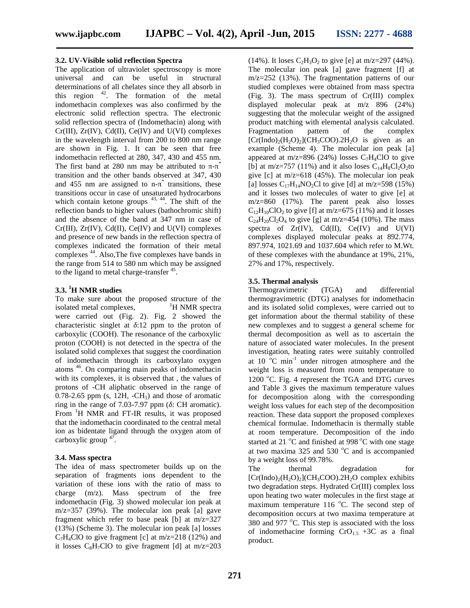#### **3.2. UV-Visible solid reflection Spectra**

The application of ultraviolet spectroscopy is more universal and can be useful in structural determinations of all chelates since they all absorb in this region  $42$ . The formation of the metal indomethacin complexes was also confirmed by the electronic solid reflection spectra. The electronic solid reflection spectra of (Indomethacin) along with Cr(III), Zr(IV), Cd(II), Ce(IV) and U(VI) complexes in the wavelength interval from 200 to 800 nm range are shown in Fig. 1. It can be seen that free indomethacin reflected at 280, 347, 430 and 455 nm. The first band at 280 nm may be attributed to  $-$ \* transition and the other bands observed at 347, 430 and 455 nm are assigned to n- \* transitions, these transitions occur in case of unsaturated hydrocarbons which contain ketone groups  $43, 44$ . The shift of the reflection bands to higher values (bathochromic shift) and the absence of the band at 347 nm in case of Cr(III), Zr(IV), Cd(II), Ce(IV) and U(VI) complexes and presence of new bands in the reflection spectra of complexes indicated the formation of their metal complexes <sup>44</sup>. Also,The five complexes have bands in the range from 514 to 580 nm which may be assigned to the ligand to metal charge-transfer<sup>45</sup>.

#### **3.3. <sup>1</sup>H NMR studies**

To make sure about the proposed structure of the isolated metal complexes,  $\mathbf{H}$  NMR spectra were carried out (Fig. 2). Fig. 2 showed the characteristic singlet at :12 ppm to the proton of carboxylic (COOH). The resonance of the carboxylic proton (COOH) is not detected in the spectra of the isolated solid complexes that suggest the coordination of indomethacin through its carboxylato oxygen atoms <sup>46</sup>. On comparing main peaks of indomethacin with its complexes, it is observed that , the values of protons of -CH aliphatic observed in the range of  $0.78-2.65$  ppm (s, 12H,  $-CH_3$ ) and those of aromatic ring in the range of 7.03-7.97 ppm ( : CH aromatic). From <sup>1</sup>H NMR and FT-IR results, it was proposed that the indomethacin coordinated to the central metal ion as bidentate ligand through the oxygen atom of carboxylic group <sup>47</sup> .

#### **3.4. Mass spectra**

The idea of mass spectrometer builds up on the separation of fragments ions dependent to the variation of these ions with the ratio of mass to charge (m/z). Mass spectrum of the free indomethacin (Fig. 3) showed molecular ion peak at m/z=357 (39%). The molecular ion peak [a] gave fragment which refer to base peak [b] at m/z=327 (13%) (Scheme 3). The molecular ion peak [a] losses  $C_7H_4ClO$  to give fragment [c] at m/z=218 (12%) and it losses  $C_8H_7ClO$  to give fragment [d] at m/z=203

(14%). It loses  $C_2H_3O_2$  to give [e] at m/z=297 (44%). The molecular ion peak [a] gave fragment [f] at m/z=252 (13%). The fragmentation patterns of our studied complexes were obtained from mass spectra (Fig. 3). The mass spectrum of Cr(III) complex displayed molecular peak at m/z 896 (24%) suggesting that the molecular weight of the assigned product matching with elemental analysis calculated. Fragmentation pattern of the complex  $[Cr(Indo)<sub>2</sub>(H<sub>2</sub>O)<sub>2</sub>](CH<sub>3</sub>COO)$ .  $2H<sub>2</sub>O$  is given as an example (Scheme 4). The molecular ion peak [a] appeared at m/z=896 (24%) losses  $C_7H_4ClO$  to give [b] at m/z=757 (11%) and it also loses  $C_{14}H_8Cl_2O_2$  to give  $[c]$  at m/z=618 (45%). The molecular ion peak [a] losses  $C_{17}H_{14}NO_2Cl$  to give [d] at m/z=598 (15%) and it losses two molecules of water to give [e] at m/z=860 (17%). The parent peak also losses  $C_{12}H_{10}ClO_2$  to give [f] at m/z=675 (11%) and it losses  $C_{24}H_{20}Cl_2O_4$  to give [g] at m/z=454 (10%). The mass spectra of  $Zr(IV)$ ,  $Cd(II)$ ,  $Ce(IV)$  and  $U(VI)$ complexes displayed molecular peaks at 892.774, 897.974, 1021.69 and 1037.604 which refer to M.Wt. of these complexes with the abundance at 19%, 21%, 27% and 17%, respectively.

#### **3.5. Thermal analysis**

Thermogravimetric (TGA) and differential thermogravimetric (DTG) analyses for indomethacin and its isolated solid complexes, were carried out to get information about the thermal stability of these new complexes and to suggest a general scheme for thermal decomposition as well as to ascertain the nature of associated water molecules. In the present investigation, heating rates were suitably controlled at 10 C min-1 under nitrogen atmosphere and the weight loss is measured from room temperature to 1200  $^{\circ}$ C. Fig. 4 represent the TGA and DTG curves and Table 3 gives the maximum temperature values for decomposition along with the corresponding weight loss values for each step of the decomposition reaction. These data support the proposed complexes chemical formulae. Indomethacin is thermally stable at room temperature. Decomposition of the indo started at 21 $\degree$ C and finished at 998 $\degree$ C with one stage at two maxima 325 and 530  $^{\circ}$ C and is accompanied by a weight loss of 99.78%.

The thermal degradation for  $[Cr(Indo)<sub>2</sub>(H<sub>2</sub>O)<sub>2</sub>](CH<sub>3</sub>COO).2H<sub>2</sub>O complex exhibits$ two degradation steps. Hydrated Cr(Ι) complex loss upon heating two water molecules in the first stage at maximum temperature  $116$  °C. The second step of decomposition occurs at two maxima temperature at 380 and 977 °C. This step is associated with the loss of indomethacine forming  $CrO<sub>1.5</sub> +3C$  as a final product.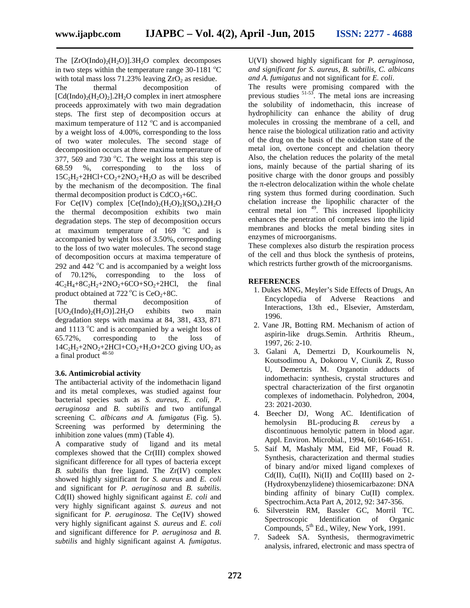The  $[ZrO(Indo)<sub>2</sub>(H<sub>2</sub>O)]$ .3H<sub>2</sub>O complex decomposes in two steps within the temperature range  $30-1181$  <sup>o</sup>C with total mass loss  $71.23\%$  leaving  $ZrO<sub>2</sub>$  as residue.

The thermal decomposition of  $[Cd(Indo)<sub>2</sub>(H<sub>2</sub>O)<sub>2</sub>]$ .2H<sub>2</sub>O complex in inert atmosphere proceeds approximately with two main degradation steps. The first step of decomposition occurs at maximum temperature of  $112 \degree C$  and is accompanied by a weight loss of 4.00%, corresponding to the loss of two water molecules. The second stage of decomposition occurs at three maxima temperature of 377, 569 and 730  $^{\circ}$ C. The weight loss at this step is 68.59 %, corresponding to the loss of  $15C_2H_2+2HCl+CO_2+2NO_2+H_2O$  as will be described by the mechanism of the decomposition. The final thermal decomposition product is  $CdCO<sub>3</sub>+6C$ .

For Ce(IV) complex  $[Ce(Indo)<sub>2</sub>(H<sub>2</sub>O)<sub>2</sub>](SO<sub>4</sub>)$ .2H<sub>2</sub>O the thermal decomposition exhibits two main degradation steps. The step of decomposition occurs at maximum temperature of  $169 \degree C$  and is accompanied by weight loss of 3.50%, corresponding to the loss of two water molecules. The second stage of decomposition occurs at maxima temperature of 292 and 442  $\degree$ C and is accompanied by a weight loss of 70.12%, corresponding to the loss of  $4C_2H_4+8C_2H_2+2NO_2+6CO+SO_2+2HCl$ , the final product obtained at  $722 \degree C$  is  $CeO<sub>2</sub>+8C$ .<br>The thermal decompositi

The thermal decomposition of  $[UO<sub>2</sub>(Indo)<sub>2</sub>(H<sub>2</sub>O)]$ .2H<sub>2</sub>O exhibits two main degradation steps with maxima at 84, 381, 433, 871 and 1113  $\mathrm{^{\circ}C}$  and is accompanied by a weight loss of 65.72%, corresponding to the loss of  $14C_2H_2+2NO_2+2HCl+CO_2+H_2O+2CO$  giving UO<sub>2</sub> as a final product 48-50

### **3.6. Antimicrobial activity**

The antibacterial activity of the indomethacin ligand and its metal complexes, was studied against four bacterial species such as *S. aureus, E. coli*, *P. aeruginosa* and *B. subtilis* and two antifungal screening C*. albicans and A. fumigatus* (Fig. 5). Screening was performed by determining the inhibition zone values (mm) (Table 4).

A comparative study of ligand and its metal complexes showed that the Cr(III) complex showed significant difference for all types of bacteria except *B. subtilis* than free ligand. The Zr(IV) complex showed highly significant for *S. aureus* and *E. coli* and significant for *P. aeruginosa* and *B. subtilis*. Cd(II) showed highly significant against *E. coli* and very highly significant against *S. aureus* and not significant for *P. aeruginosa*. The Ce(IV) showed very highly significant against *S. aureus* and *E. coli* and significant difference for *P. aeruginosa* and *B. subtilis* and highly significant against *A. fumigatus*.

U(VI) showed highly significant for *P. aeruginosa*, *and significant for S. aureus*, *B. subtilis, C. albicans and A. fumigatus* and not significant for *E. coli*.

The results were promising compared with the previous studies  $51-55$ . The metal ions are increasing the solubility of indomethacin, this increase of hydrophilicity can enhance the ability of drug molecules in crossing the membrane of a cell, and hence raise the biological utilization ratio and activity of the drug on the basis of the oxidation state of the metal ion, overtone concept and chelation theory Also, the chelation reduces the polarity of the metal ions, mainly because of the partial sharing of its positive charge with the donor groups and possibly the -electron delocalization within the whole chelate ring system thus formed during coordination. Such chelation increase the lipophilic character of the central metal ion <sup>49</sup>. This increased lipophilicity enhances the penetration of complexes into the lipid membranes and blocks the metal binding sites in enzymes of microorganisms.

These complexes also disturb the respiration process of the cell and thus block the synthesis of proteins, which restricts further growth of the microorganisms.

### **REFERENCES**

- 1. Dukes MNG, Meyler's Side Effects of Drugs, An Encyclopedia of Adverse Reactions and Interactions, 13th ed., Elsevier, Amsterdam, 1996.
- 2. Vane JR, Botting RM. Mechanism of action of aspirin-like drugs.Semin. Arthritis Rheum., 1997, 26: 2-10.
- 3. Galani A, Demertzi D, Kourkoumelis N, Koutsodimou A, Dokorou V, Ciunik Z, Russo U, Demertzis M. Organotin adducts of indomethacin: synthesis, crystal structures and spectral characterization of the first organotin complexes of indomethacin. Polyhedron, 2004, 23: 2021-2030.
- 4. Beecher DJ, Wong AC. Identification of hemolysin BL-producing *B. cereus* by a discontinuous hemolytic pattern in blood agar. Appl. Environ. Microbial., 1994, 60:1646-1651.
- 5. Saif M, Mashaly MM, Eid MF, Fouad R. Synthesis, characterization and thermal studies of binary and/or mixed ligand complexes of Cd(II), Cu(II), Ni(II) and Co(III) based on  $2$ -(Hydroxybenzylidene) thiosemicarbazone: DNA binding affinity of binary Cu(II) complex. Spectrochim.Acta Part A, 2012, 92: 347-356.
- 6. Silverstein RM, Bassler GC, Morril TC. Spectroscopic Identification of Organic Compounds,  $5<sup>th</sup>$  Ed., Wiley, New York, 1991.
- 7. Sadeek SA. Synthesis, thermogravimetric analysis, infrared, electronic and mass spectra of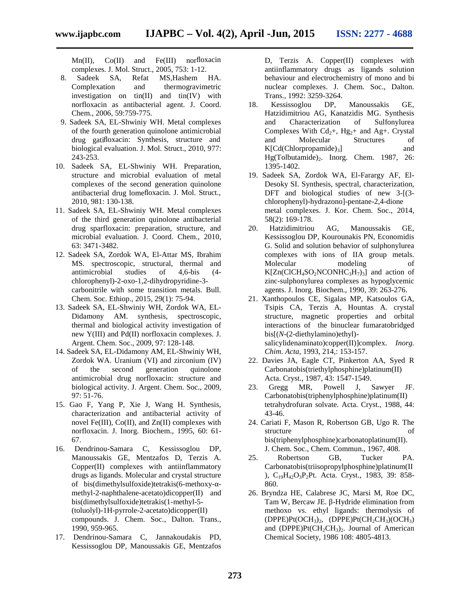Mn(II), Co(II) and Fe(III) norfloxacin complexes. J. Mol. Struct., 2005, 753: 1-12.

- 8. Sadeek SA, Refat MS,Hashem HA. Complexation and thermogravimetric investigation on tin(II) and tin(IV) with norfloxacin as antibacterial agent. J. Coord. Chem., 2006, 59:759-775.
- 9. Sadeek SA, EL-Shwiniy WH. Metal complexes of the fourth generation quinolone antimicrobial drug gatifloxacin: Synthesis, structure and biological evaluation. J. Mol. Struct., 2010, 977: 243-253.
- 10. Sadeek SA, EL-Shwiniy WH. Preparation, structure and microbial evaluation of metal complexes of the second generation quinolone antibacterial drug lomefloxacin. J. Mol. Struct., 2010, 981: 130-138.
- 11. Sadeek SA, EL-Shwiniy WH. Metal complexes of the third generation quinolone antibacterial drug sparfloxacin: preparation, structure, and microbial evaluation. J. Coord. Chem., 2010, 63: 3471-3482.
- 12. Sadeek SA, Zordok WA, El-Attar MS, Ibrahim MS. spectroscopic, structural, thermal and antimicrobial studies of 4,6-bis (4 chlorophenyl)-2-oxo-1,2-dihydropyridine-3 carbonitrile with some transition metals. Bull. Chem. Soc. Ethiop., 2015, 29(1): 75-94.
- 13. Sadeek SA, EL-Shwiniy WH, Zordok WA, EL- Didamony AM. synthesis, spectroscopic, thermal and biological activity investigation of new Y() and Pd() norfloxacin complexes. J. Argent. Chem. Soc., 2009, 97: 128-148.
- 14. Sadeek SA, EL-Didamony AM, EL-Shwiniy WH, Zordok WA. Uranium (VI) and zirconium (IV) of the second generation quinolone antimicrobial drug norfloxacin: structure and biological activity. J. Argent. Chem. Soc., 2009, 97: 51-76.
- 15. Gao F, Yang P, Xie J, Wang H. Synthesis, characterization and antibacterial activity of novel Fe(III), Co(II), and Zn(II) complexes with norfloxacin. J. Inorg. Biochem., 1995, 60: 61- 67.
- 16. Dendrinou-Samara C, Kessissoglou DP, Manoussakis GE, Mentzafos D, Terzis A. Copper(II) complexes with antiinflammatory drugs as ligands. Molecular and crystal structure of bis(dimethylsulfoxide)tetrakis(6-methoxy- methyl-2-naphthalene-acetato)dicopper(II) and bis(dimethylsulfoxide)tetrakis(1-methyl-5- (toluolyl)-1H-pyrrole-2-acetato)dicopper(II) compounds. J. Chem. Soc., Dalton. Trans., 1990, 959-965.
- 17. Dendrinou-Samara C, Jannakoudakis PD, Kessissoglou DP, Manoussakis GE, Mentzafos

D, Terzis A. Copper(II) complexes with antiinflammatory drugs as ligands solution behaviour and electrochemistry of mono and bi nuclear complexes. J. Chem. Soc., Dalton. Trans., 1992: 3259-3264.

- 18. Kessissoglou DP, Manoussakis GE, Hatzidimitriou AG, Kanatzidis MG. Synthesis and Characterization of Sulfonylurea Complexes With  $Cd_{2}+$ , Hg<sub>2</sub>+ and Ag+. Crystal and Molecular Structures of  $K[Cd(Chlorpropamide)_3]$  and Hg(Tolbutamide) $2$ . Inorg. Chem. 1987, 26: 1395-1402.
- 19. Sadeek SA, Zordok WA, El-Farargy AF, El- Desoky SI. Synthesis, spectral, characterization, DFT and biological studies of new 3-[(3chlorophenyl)-hydrazono]-pentane-2,4-dione metal complexes. J. Kor. Chem. Soc., 2014, 58(2): 169-178.
- Hatzidimitriou AG, Manoussakis GE, Kessissoglou DP, Kourounakis PN, Economidis G. Solid and solution behavior of sulphonylurea complexes with ions of IIA group metals. Molecular modeling of  $K[Zn(CICH_4SO_2NCONHC_3H_7)_3]$  and action of zinc-sulphonylurea complexes as hypoglycemic agents. J. Inorg. Biochem., 1990, 39: 263-276.
- 21. Xanthopoulos CE, Sigalas MP, Katsoulos GA, Tsipis CA, Terzis A, Hountas A. crystal structure, magnetic properties and orbital interactions of the binuclear fumaratobridged bis[(*N*-(2-diethylamino)ethyl) salicylidenaminato)copper(II)]complex. *Inorg. Chim. Acta*, 1993, 214,: 153-157.
- 22. Davies JA, Eagle CT, Pinkerton AA, Syed R Carbonatobis(triethylphosphine)platinum(II) Acta. Cryst., 1987, 43: 1547-1549.
- 23. Gregg MR, Powell J, Sawyer JF. Carbonatobis(triphenylphosphine)platinum(II) tetrahydrofuran solvate. Acta. Cryst., 1988, 44: 43-46.
- 24. Cariati F, Mason R, Robertson GB, Ugo R. The structure of bis(triphenylphosphine)carbonatoplatinum(II). J. Chem. Soc., Chem. Commun., 1967, 408.
- 25. Robertson GB, Tucker PA. Carbonatobis(triisopropylphosphine)platinum(II ), C19H42O3P2Pt. Acta. Cryst., 1983, 39: 858- 860.
- 26. Bryndza HE, Calabrese JC, Marsi M, Roe DC, Tam W, Bercaw JE. -Hydride elimination from methoxo vs. ethyl ligands: thermolysis of  $(DPPE)Pt(OCH<sub>3</sub>)<sub>2</sub>$ ,  $(DPPE)Pt(CH<sub>2</sub>CH<sub>3</sub>)(OCH<sub>3</sub>)$ and (DPPE)Pt( $CH<sub>2</sub>CH<sub>3</sub>$ )<sub>2</sub>. Journal of American Chemical Society, 1986 108: 4805-4813.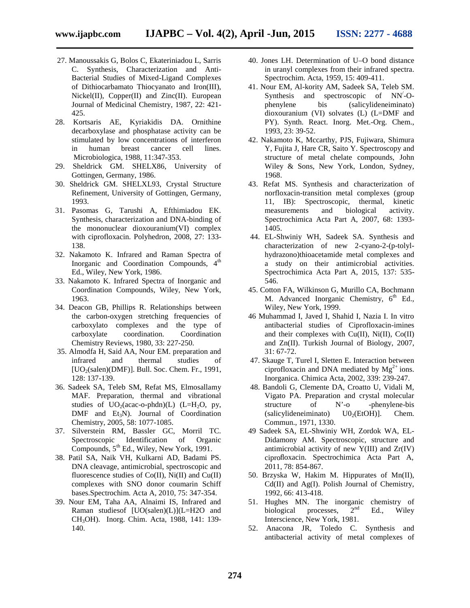- 27. Manoussakis G, Bolos C, Ekateriniadou L, Sarris C. Synthesis, Characterization and Anti- Bacterial Studies of Mixed-Ligand Complexes of Dithiocarbamato Thiocyanato and Iron(III), Nickel(II), Copper(II) and Zinc(II). European Journal of Medicinal Chemistry, 1987, 22: 421- 425.
- 28. Kortsaris AE, Kyriakidis DA. Ornithine decarboxylase and phosphatase activity can be stimulated by low concentrations of interferon in human breast cancer cell lines. Microbiologica, 1988, 11:347-353.
- 29. Sheldrick GM. SHELX86, University of Gottingen, Germany, 1986.
- 30. Sheldrick GM. SHELXL93, Crystal Structure Refinement, University of Gottingen, Germany, 1993.
- 31. Pasomas G, Tarushi A, Efthimiadou EK. Synthesis, characterization and DNA-binding of the mononuclear dioxouranium(VI) complex with ciprofloxacin. Polyhedron, 2008, 27: 133- 138.
- 32. Nakamoto K. Infrared and Raman Spectra of Inorganic and Coordination Compounds,  $4<sup>th</sup>$ Ed., Wiley, New York, 1986.
- 33. Nakamoto K. Infrared Spectra of Inorganic and Coordination Compounds, Wiley, New York, 1963.
- 34. Deacon GB, Phillips R. Relationships between the carbon-oxygen stretching frequencies of carboxylato complexes and the type of carboxylate coordination. Coordination Chemistry Reviews, 1980, 33: 227-250.
- 35. Almodfa H, Said AA, Nour EM. preparation and infrared and thermal studies of  $[UO<sub>2</sub>(salen)(DMF)]$ . Bull. Soc. Chem. Fr., 1991, 128: 137-139.
- 36. Sadeek SA, Teleb SM, Refat MS, Elmosallamy MAF. Preparation, thermal and vibrational studies of  $UO<sub>2</sub>(acac-o-phdn)(L)$  (L=H<sub>2</sub>O, py, DMF and Et<sub>3</sub>N). Journal of Coordination Chemistry, 2005, 58: 1077-1085.
- 37. Silverstein RM, Bassler GC, Morril TC. Spectroscopic Identification of Organic Compounds,  $5^{th}$  Ed., Wiley, New York, 1991.
- 38. Patil SA, Naik VH, Kulkarni AD, Badami PS. DNA cleavage, antimicrobial, spectroscopic and fluorescence studies of  $Co(II)$ ,  $Ni(II)$  and  $Cu(II)$ complexes with SNO donor coumarin Schiff bases.Spectrochim. Acta A, 2010, 75: 347-354.
- 39. Nour EM, Taha AA, Alnaimi IS, Infrared and Raman studiesof [UO(salen)(L)](L=H2O and CH3OH). Inorg. Chim. Acta, 1988, 141: 139- 140.
- 40. Jones LH. Determination of U–O bond distance in uranyl complexes from their infrared spectra. Spectrochim. Acta, 1959, 15: 409-411.
- 41. Nour EM, Al-kority AM, Sadeek SA, Teleb SM. Synthesis and spectroscopic of NN/-O phenylene bis (salicylideneiminato) dioxouranium (VI) solvates (L) (L=DMF and PY). Synth. React. Inorg. Met.-Org. Chem., 1993, 23: 39-52.
- 42. Nakamoto K, Mccarthy, PJS, Fujiwara, Shimura Y, Fujita J, Hare CR, Saito Y. Spectroscopy and structure of metal chelate compounds, John Wiley & Sons, New York, London, Sydney, 1968.
- 43. Refat MS. Synthesis and characterization of norfloxacin-transition metal complexes (group 11, IB): Spectroscopic, thermal, kinetic measurements and biological activity. Spectrochimica Acta Part A, 2007, 68: 1393- 1405.
- 44. EL-Shwiniy WH, Sadeek SA. Synthesis and characterization of new 2-cyano-2-(p-tolyl hydrazono)thioacetamide metal complexes and a study on their antimicrobial activities. Spectrochimica Acta Part A, 2015, 137: 535- 546.
- 45. Cotton FA, Wilkinson G, Murillo CA, Bochmann M. Advanced Inorganic Chemistry,  $6<sup>th</sup>$  Ed., Wiley, New York, 1999.
- 46 Muhammad I, Javed I, Shahid I, Nazia I. In vitro antibacterial studies of Ciprofloxacin-imines and their complexes with Cu(II), Ni(II), Co(II) and Zn(II). Turkish Journal of Biology, 2007, 31: 67-72.
- 47. Skauge T, Turel I, Sletten E. Interaction between ciprofloxacin and DNA mediated by  $Mg^{2+}$  ions. Inorganica. Chimica Acta, 2002, 339: 239-247.
- 48. Bandoli G, Clemente DA, Croatto U, Vidali M, Vigato PA. Preparation and crystal molecular structure of N'-o -phenylene-bis (salicylideneiminato)  $U0<sub>2</sub>(EtOH)$ ]. Chem. Commun., 1971, 1330.
- 49 Sadeek SA, EL-Shwiniy WH, Zordok WA, EL- Didamony AM. Spectroscopic, structure and antimicrobial activity of new Y(III) and Zr(IV) ciprofloxacin. Spectrochimica Acta Part A, 2011, 78: 854-867.
- 50. Brzyska W, Hakim M. Hippurates of Mn(II), Cd(II) and Ag(I). Polish Journal of Chemistry, 1992, 66: 413-418.
- 51. Hughes MN. The inorganic chemistry of biological processes.  $2<sup>nd</sup>$  Fd Wilev biological processes,  $2<sup>nd</sup>$  Ed., Wiley Interscience, New York, 1981.
- 52. Anacona JR, Toledo C. Synthesis and antibacterial activity of metal complexes of